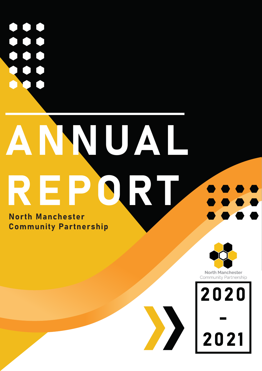$\bigcup$ 

## ANNUAL REPORT North Manchester

Community Partnership



**North Manchester** Community Partnership

2020 - 2021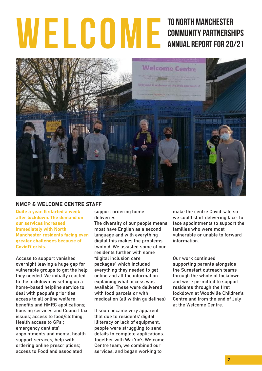## to NOrth Manchester TO NORTH MANCHESTER<br>
COMMUNITY PARTNERSHIPS<br>
ANNUAL REPORT FOR 20/21



#### NMCP & WELCOME CENTRE STAFF

Quite a year. It started a week after lockdown. The demand on our services increased immediately with North Manchester residents facing even greater challenges because of Covid19 crisis.

Access to support vanished overnight leaving a huge gap for vulnerable groups to get the help they needed. We initially reacted to the lockdown by setting up a home-based helpline service to deal with people's priorities: access to all online welfare benefits and HMRC applications; housing services and Council Tax issues; access to food/clothing; Health access to GPs ; emergency dentists' appointments and mental health support services; help with ordering online prescriptions; access to Food and associated

support ordering home deliveries.

The diversity of our people means most have English as a second language and with everything digital this makes the problems twofold. We assisted some of our residents further with some "digital inclusion care packages" which included everything they needed to get online and all the information explaining what access was available. These were delivered with food parcels or with medication (all within guidelines)

It soon became very apparent that due to residents' digital illiteracy or lack of equipment, people were struggling to send details to complete applications. Together with Wai Yin's Welcome Centre team, we combined our services, and began working to

make the centre Covid safe so we could start delivering face-toface appointments to support the families who were most vulnerable or unable to forward information.

Our work continued supporting parents alongside the Surestart outreach teams through the whole of lockdown and were permitted to support residents through the first lockdown at Woodville Children's Centre and from the end of July at the Welcome Centre.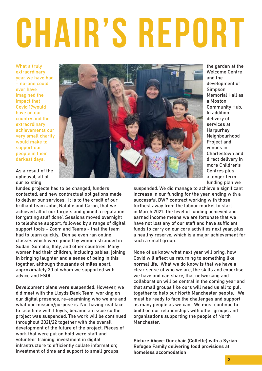# CHAIR'S REPORT

What a truly extraordinary year we have had – no-one could ever have imagined the impact that Covid 19would have on our country and the extraordinary achievements our very small charity would make to support our people in their darkest days.



the garden at the Welcome Centre and the development of Simpson Memorial Hall as a Moston Community Hub. In addition delivery of services at Harpurhey Neighbourhood Project and venues in Charlestown and direct delivery in more Children's Centres plus a longer term funding plan we

As a result of the upheaval, all of our existing

funded projects had to be changed, funders contacted, and new contractual obligations made to deliver our services. It is to the credit of our brilliant team John, Natalie and Caron, that we achieved all of our targets and gained a reputation for 'getting stuff done'. Sessions moved overnight to telephone support, followed by a range of digital support tools - Zoom and Teams - that the team had to learn quickly. Denise even ran online classes which were joined by women stranded in Sudan, Somalia, Italy, and other countries. Many women had their children, including babies, joining in bringing laughter and a sense of being in this together, although thousands of miles apart, approximately 30 of whom we supported with advice and ESOL.

Development plans were suspended. However, we did meet with the Lloyds Bank Team, working on our digital presence, re-examining who we are and what our mission/purpose is. Not having real face to face time with Lloyds, became an issue so the project was suspended. The work will be continued throughout 2021/22 together with the overall development of the future of the project. Pieces of work that were put on hold were staff and volunteer training: investment in digital infrastructure to efficiently collate information; investment of time and support to small groups,

suspended. We did manage to achieve a significant increase in our funding for the year, ending with a successful DWP contract working with those furthest away from the labour market to start in March 2021. The level of funding achieved and earned income means we are fortunate that we have not lost any of our staff and have sufficient funds to carry on our core activities next year, plus a healthy reserve, which is a major achievement for such a small group.

None of us know what next year will bring, how Covid will affect us returning to something like normal life. What we do know is that we have a clear sense of who we are, the skills and expertise we have and can share, that networking and collaboration will be central in the coming year and that small groups like ours will need us all to pull together to help our North Manchester people. We must be ready to face the challenges and support as many people as we can. We must continue to build on our relationships with other groups and organisations supporting the people of North **Manchester** 

Picture Above: Our chair (Collette) with a Syrian Refugee Family delivering food provisions at homeless accomodation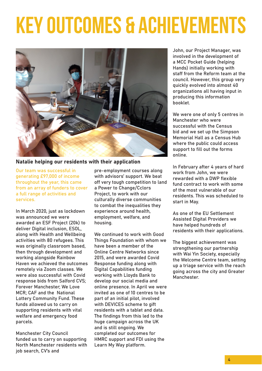## KEY OUTCOMES & ACHIEVEMENTS



Natalie helping our residents with their application

Our team was successful in generating £97,000 of income throughout the year, this came from an array of funders to cover a full range of activities and services.

In March 2020, just as lockdown was announced we were awarded an ESF Project (20k) to deliver Digital inclusion, ESOL, along with Health and Wellbeing activities with 80 refugees. This was originally classroom based, then through development and working alongside Rainbow Haven we achieved the outcomes remotely via Zoom classes. We were also successful with Covid response bids from Salford CVS; Forever Manchester; We Love MCR; CAF and the National Lottery Community Fund. These funds allowed us to carry on supporting residents with vital welfare and emergency food parcels.

Manchester City Council funded us to carry on supporting North Manchester residents with job search, CV's and

pre-employment courses along with advisors' support. We beat off very tough competition to land a Power to Change/Cclors Project, to work with our culturally diverse communities to combat the inequalities they experience around health, employment, welfare, and housing.

We continued to work with Good Things Foundation with whom we have been a member of the Online Centre Networks since 2015, and were awarded Covid Response funding along with Digital Capabilities funding working with Lloyds Bank to develop our social media and online presence. In April we were invited as one of 10 centres to be part of an initial pilot, involved with DEVICES scheme to gift residents with a tablet and data. The findings from this led to the huge campaign across the UK and is still ongoing. We completed our outcomes for HMRC support and FDI using the Learn My Way platform.

John, our Project Manager, was involved in the development of a MCC Pocket Guide (helping Hands) initially working with staff from the Reform team at the council. However, this group very quickly evolved into almost 40 organizations all having input in producing this information booklet.

We were one of only 5 centres in Manchester who were successful with the Census bid and we set up the Simpson Memorial Hall as a Census Hub where the public could access support to fill out the forms online.

In February after 4 years of hard work from John, we were rewarded with a DWP flexible fund contract to work with some of the most vulnerable of our residents. This was scheduled to start in May.

As one of the EU Settlement Assisted Digital Providers we have helped hundreds of residents with their applications.

The biggest achievement was strengthening our partnership with Wai Yin Society, especially the Welcome Centre team, setting up a triage service with the reach going across the city and Greater **Manchester**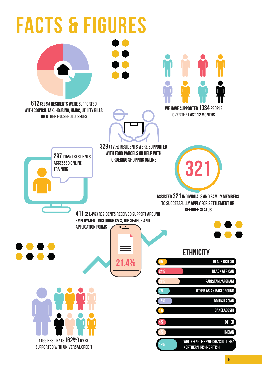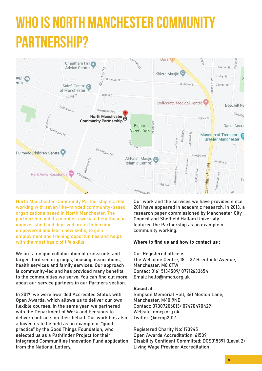### WHO IS NORTH MANCHESTER COMMUNIT partnership?



North Manchester Community Partnership started working with seven like-minded community-based organizations based in North Manchester. The partnership and its members work to help those in impoverished and deprived areas to become empowered and learn new skills, to gain employment and training opportunities and helps with the most basic of life skills.

We are a unique collaboration of grassroots and larger third sector groups, housing associations, health services and family services. Our approach is community-led and has provided many benefits to the communities we serve. You can find out more about our service partners in our Partners section.

In 2017, we were awarded Accredited Status with Open Awards, which allows us to deliver our own flexible courses. In the same year, we partnered with the Department of Work and Pensions to deliver contracts on their behalf. Our work has also allowed us to be held as an example of "good practice" by the Good Things Foundation, who selected us as a Pathfinder Project for their Integrated Communities Innovation Fund application from the National Lottery.

Our work and the services we have provided since 2011 have appeared in academic research. In 2013, a research paper commissioned by Manchester City Council and Sheffield Hallam University featured the Partnership as an example of community working.

#### Where to find us and how to contact us :

Our Registered office is: The Welcome Centre, 18 – 32 Brentfield Avenue, Manchester, M8 0TW Contact 0161 5134509/ 07712633654 Email: hello@nmcp.org.uk

#### Based at

Simpson Memorial Hall, 361 Moston Lane, Manchester, M40 9NB Contact: 07307206013/ 07470470429 Website: nmcp.org.uk Twitter: @ncmp2017

Registered Charity No:1173945 Open Awards Accreditation: 61539 Disability Confident Committed: DCS015391 (Level 2) Living Wage Provider Accreditation